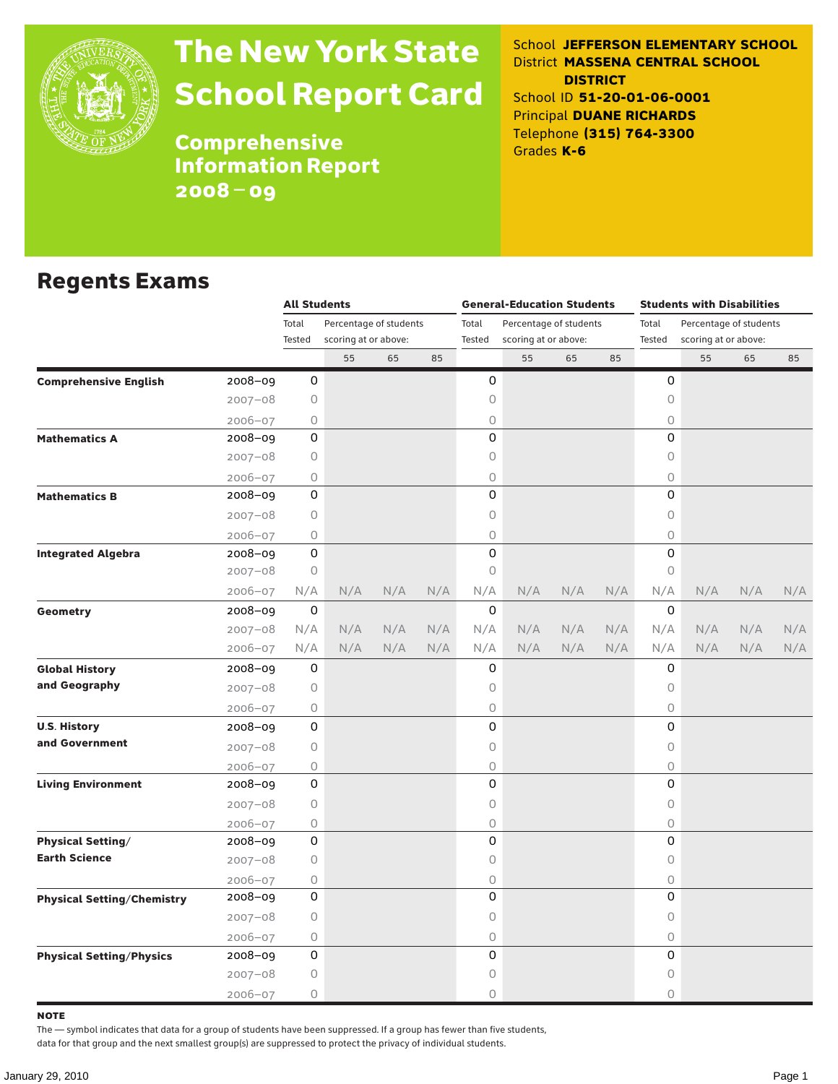

# The New York State School Report Card

School **JEFFERSON ELEMENTARY SCHOOL** District **MASSENA CENTRAL SCHOOL DISTRICT** School ID **51-20-01-06-0001** Principal **DUANE RICHARDS** Telephone **(315) 764-3300** Grades **K-6**

**Comprehensive** Information Report 2008–09

#### Regents Exams

|                                                                                               |             | <b>All Students</b> |                        |     |     |          | <b>General-Education Students</b> |     |     | <b>Students with Disabilities</b> |                      |                                                                  |     |  |  |
|-----------------------------------------------------------------------------------------------|-------------|---------------------|------------------------|-----|-----|----------|-----------------------------------|-----|-----|-----------------------------------|----------------------|------------------------------------------------------------------|-----|--|--|
|                                                                                               |             | Total               | Percentage of students |     |     | Total    | Percentage of students            |     |     | Total                             |                      |                                                                  |     |  |  |
|                                                                                               |             | Tested              | scoring at or above:   |     |     | Tested   | scoring at or above:              |     |     | Tested                            | scoring at or above: |                                                                  |     |  |  |
|                                                                                               |             |                     | 55                     | 65  | 85  |          | 55                                | 65  | 85  |                                   | 55                   | 65                                                               | 85  |  |  |
| <b>Comprehensive English</b>                                                                  | 2008-09     | 0                   |                        |     |     | 0        |                                   |     |     | 0                                 |                      |                                                                  |     |  |  |
|                                                                                               | $2007 - 08$ | 0                   |                        |     |     | 0        |                                   |     |     | 0                                 |                      |                                                                  |     |  |  |
|                                                                                               | $2006 - 07$ | 0                   |                        |     |     | 0        |                                   |     |     | 0                                 |                      | Percentage of students<br>N/A<br>N/A<br>N/A<br>N/A<br>N/A<br>N/A |     |  |  |
| <b>Mathematics A</b>                                                                          | 2008-09     | 0                   |                        |     |     | 0        |                                   |     |     | $\Omega$                          |                      |                                                                  |     |  |  |
|                                                                                               | $2007 - 08$ | 0                   |                        |     |     | 0        |                                   |     |     | 0                                 |                      |                                                                  |     |  |  |
| <b>Mathematics B</b><br><b>Integrated Algebra</b><br><b>Geometry</b><br><b>Global History</b> | $2006 - 07$ | 0                   |                        |     |     | 0        |                                   |     |     | $\bigcirc$                        |                      |                                                                  |     |  |  |
|                                                                                               | 2008-09     | 0                   |                        |     |     | 0        |                                   |     |     | $\Omega$                          |                      |                                                                  |     |  |  |
|                                                                                               | $2007 - 08$ | 0                   |                        |     |     | 0        |                                   |     |     | 0                                 |                      |                                                                  |     |  |  |
|                                                                                               | $2006 - 07$ | 0                   |                        |     |     | 0        |                                   |     |     | 0                                 |                      |                                                                  |     |  |  |
|                                                                                               | 2008-09     | 0                   |                        |     |     | 0        |                                   |     |     | 0                                 |                      |                                                                  |     |  |  |
|                                                                                               | 2007-08     | 0                   |                        |     |     | 0        |                                   |     |     | $\circ$                           |                      |                                                                  |     |  |  |
|                                                                                               | 2006-07     | N/A                 | N/A                    | N/A | N/A | N/A      | N/A                               | N/A | N/A | N/A                               |                      |                                                                  | N/A |  |  |
|                                                                                               | 2008-09     | 0                   |                        |     |     | $\Omega$ |                                   |     |     | 0                                 |                      |                                                                  |     |  |  |
|                                                                                               | $2007 - 08$ | N/A                 | N/A                    | N/A | N/A | N/A      | N/A                               | N/A | N/A | N/A                               |                      |                                                                  | N/A |  |  |
|                                                                                               | $2006 - 07$ | N/A                 | N/A                    | N/A | N/A | N/A      | N/A                               | N/A | N/A | N/A                               |                      |                                                                  | N/A |  |  |
|                                                                                               | 2008-09     | 0                   |                        |     |     | 0        |                                   |     |     | 0                                 |                      |                                                                  |     |  |  |
| and Geography                                                                                 | $2007 - 08$ | 0                   |                        |     |     | 0        |                                   |     |     | $\circ$                           |                      |                                                                  |     |  |  |
|                                                                                               | 2006-07     | 0                   |                        |     |     | 0        |                                   |     |     | 0                                 |                      |                                                                  |     |  |  |
| <b>U.S. History</b>                                                                           | 2008-09     | 0                   |                        |     |     | 0        |                                   |     |     | 0                                 |                      |                                                                  |     |  |  |
| and Government                                                                                | $2007 - 08$ | $\circ$             |                        |     |     | 0        |                                   |     |     | 0                                 |                      |                                                                  |     |  |  |
|                                                                                               | 2006-07     | 0                   |                        |     |     | 0        |                                   |     |     | $\bigcirc$                        |                      |                                                                  |     |  |  |
| <b>Living Environment</b>                                                                     | 2008-09     | 0                   |                        |     |     | 0        |                                   |     |     | 0                                 |                      |                                                                  |     |  |  |
|                                                                                               | $2007 - 08$ | $\circ$             |                        |     |     | 0        |                                   |     |     | 0                                 |                      |                                                                  |     |  |  |
|                                                                                               | $2006 - 07$ | 0                   |                        |     |     | 0        |                                   |     |     | $\bigcirc$                        |                      |                                                                  |     |  |  |
| <b>Physical Setting/</b>                                                                      | $2008 - 09$ | 0                   |                        |     |     | 0        |                                   |     |     | 0                                 |                      |                                                                  |     |  |  |
| <b>Earth Science</b>                                                                          | $2007 - 08$ | 0                   |                        |     |     | 0        |                                   |     |     | 0                                 |                      |                                                                  |     |  |  |
|                                                                                               | $2006 - 07$ | 0                   |                        |     |     | 0        |                                   |     |     | $\bigcirc$                        |                      |                                                                  |     |  |  |
| <b>Physical Setting/Chemistry</b>                                                             | 2008-09     | 0                   |                        |     |     | 0        |                                   |     |     | 0                                 |                      |                                                                  |     |  |  |
|                                                                                               | $2007 - 08$ | 0                   |                        |     |     | 0        |                                   |     |     | 0                                 |                      |                                                                  |     |  |  |
|                                                                                               | 2006-07     | 0                   |                        |     |     | 0        |                                   |     |     | $\bigcirc$                        |                      |                                                                  |     |  |  |
| <b>Physical Setting/Physics</b>                                                               | 2008-09     | 0                   |                        |     |     | 0        |                                   |     |     | 0                                 |                      |                                                                  |     |  |  |
|                                                                                               | $2007 - 08$ | 0                   |                        |     |     | 0        |                                   |     |     | 0                                 |                      |                                                                  |     |  |  |
|                                                                                               | 2006-07     | 0                   |                        |     |     | 0        |                                   |     |     | $\Omega$                          |                      |                                                                  |     |  |  |

note

The — symbol indicates that data for a group of students have been suppressed. If a group has fewer than five students,

data for that group and the next smallest group(s) are suppressed to protect the privacy of individual students.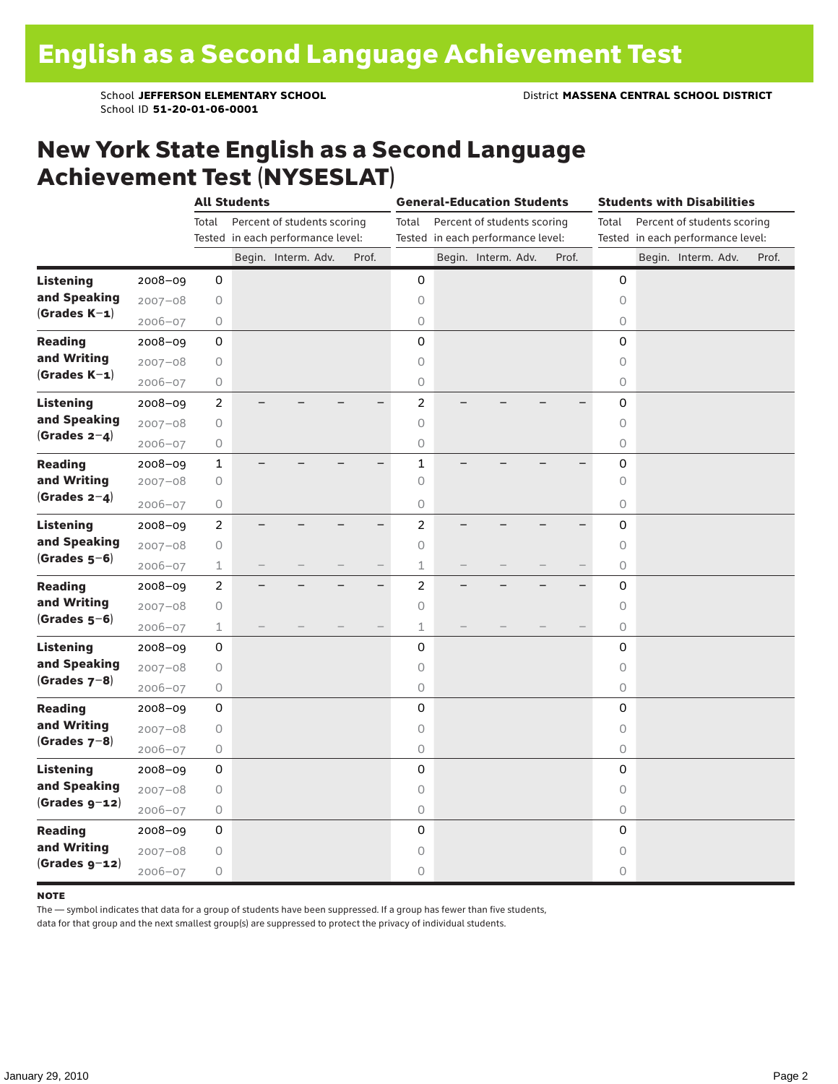School ID **51-20-01-06-0001**

#### New York State English as a Second Language Achievement Test (NYSESLAT)

|                  |             |                | <b>All Students</b> |                                   |                          |                | <b>General-Education Students</b> |       |             | <b>Students with Disabilities</b> |       |
|------------------|-------------|----------------|---------------------|-----------------------------------|--------------------------|----------------|-----------------------------------|-------|-------------|-----------------------------------|-------|
|                  |             | Total          |                     | Percent of students scoring       |                          | Total          | Percent of students scoring       |       | Total       | Percent of students scoring       |       |
|                  |             |                |                     | Tested in each performance level: |                          |                | Tested in each performance level: |       |             | Tested in each performance level: |       |
|                  |             |                |                     | Begin. Interm. Adv.               | Prof.                    |                | Begin. Interm. Adv.               | Prof. |             | Begin. Interm. Adv.               | Prof. |
| <b>Listening</b> | 2008-09     | 0              |                     |                                   |                          | 0              |                                   |       | 0           |                                   |       |
| and Speaking     | $2007 - 08$ | 0              |                     |                                   |                          | $\circ$        |                                   |       | $\circ$     |                                   |       |
| $(Grades K-1)$   | $2006 - 07$ | 0              |                     |                                   |                          | $\bigcirc$     |                                   |       | 0           |                                   |       |
| <b>Reading</b>   | $2008 - 09$ | 0              |                     |                                   |                          | $\mathbf 0$    |                                   |       | 0           |                                   |       |
| and Writing      | $2007 - 08$ | 0              |                     |                                   |                          | $\circ$        |                                   |       | 0           |                                   |       |
| $(Grades K-1)$   | 2006-07     | 0              |                     |                                   |                          | $\mathsf O$    |                                   |       | 0           |                                   |       |
| <b>Listening</b> | 2008-09     | $\overline{c}$ |                     |                                   |                          | $\overline{a}$ |                                   |       | 0           |                                   |       |
| and Speaking     | $2007 - 08$ | 0              |                     |                                   |                          | $\circ$        |                                   |       | $\circ$     |                                   |       |
| $(Grades 2-4)$   | 2006-07     | 0              |                     |                                   |                          | $\bigcirc$     |                                   |       | $\mathsf O$ |                                   |       |
| <b>Reading</b>   | 2008-09     | $\mathbf{1}$   |                     |                                   |                          | $\mathbf 1$    |                                   |       | 0           |                                   |       |
| and Writing      | $2007 - 08$ | 0              |                     |                                   |                          | $\circ$        |                                   |       | $\circ$     |                                   |       |
| (Grades $2-4$ )  | $2006 - 07$ | 0              |                     |                                   |                          | 0              |                                   |       | 0           |                                   |       |
| <b>Listening</b> | $2008 - 09$ | $\overline{c}$ |                     |                                   |                          | $\overline{a}$ |                                   |       | 0           |                                   |       |
| and Speaking     | $2007 - 08$ | 0              |                     |                                   |                          | $\circ$        |                                   |       | 0           |                                   |       |
| $(Grades 5-6)$   | $2006 - 07$ | 1              |                     |                                   |                          | $\mathbf 1$    |                                   |       | 0           |                                   |       |
| <b>Reading</b>   | $2008 - 09$ | $\overline{c}$ |                     |                                   | $\overline{\phantom{0}}$ | $\overline{c}$ |                                   |       | 0           |                                   |       |
| and Writing      | $2007 - 08$ | 0              |                     |                                   |                          | $\circ$        |                                   |       | 0           |                                   |       |
| $(Grades 5-6)$   | $2006 - 07$ | $\mathbf 1$    |                     |                                   |                          | $\mathbf 1$    |                                   |       | $\circ$     |                                   |       |
| <b>Listening</b> | $2008 - 09$ | 0              |                     |                                   |                          | 0              |                                   |       | 0           |                                   |       |
| and Speaking     | $2007 - 08$ | 0              |                     |                                   |                          | $\circ$        |                                   |       | $\circ$     |                                   |       |
| (Grades $7-8$ )  | $2006 - 07$ | 0              |                     |                                   |                          | $\circ$        |                                   |       | 0           |                                   |       |
| <b>Reading</b>   | $2008 - 09$ | 0              |                     |                                   |                          | $\mathbf 0$    |                                   |       | 0           |                                   |       |
| and Writing      | $2007 - 08$ | 0              |                     |                                   |                          | $\circ$        |                                   |       | 0           |                                   |       |
| $(Grades 7-8)$   | $2006 - 07$ | 0              |                     |                                   |                          | $\mathsf O$    |                                   |       | 0           |                                   |       |
| <b>Listening</b> | 2008-09     | 0              |                     |                                   |                          | 0              |                                   |       | 0           |                                   |       |
| and Speaking     | $2007 - 08$ | 0              |                     |                                   |                          | $\circ$        |                                   |       | $\circ$     |                                   |       |
| $(Grades g-12)$  | $2006 - 07$ | 0              |                     |                                   |                          | $\bigcirc$     |                                   |       | 0           |                                   |       |
| <b>Reading</b>   | 2008-09     | $\mathsf 0$    |                     |                                   |                          | 0              |                                   |       | 0           |                                   |       |
| and Writing      | $2007 - 08$ | 0              |                     |                                   |                          | 0              |                                   |       | 0           |                                   |       |
| $(Grades g-12)$  | $2006 - 07$ | 0              |                     |                                   |                          | 0              |                                   |       | 0           |                                   |       |

#### **NOTE**

The — symbol indicates that data for a group of students have been suppressed. If a group has fewer than five students,

data for that group and the next smallest group(s) are suppressed to protect the privacy of individual students.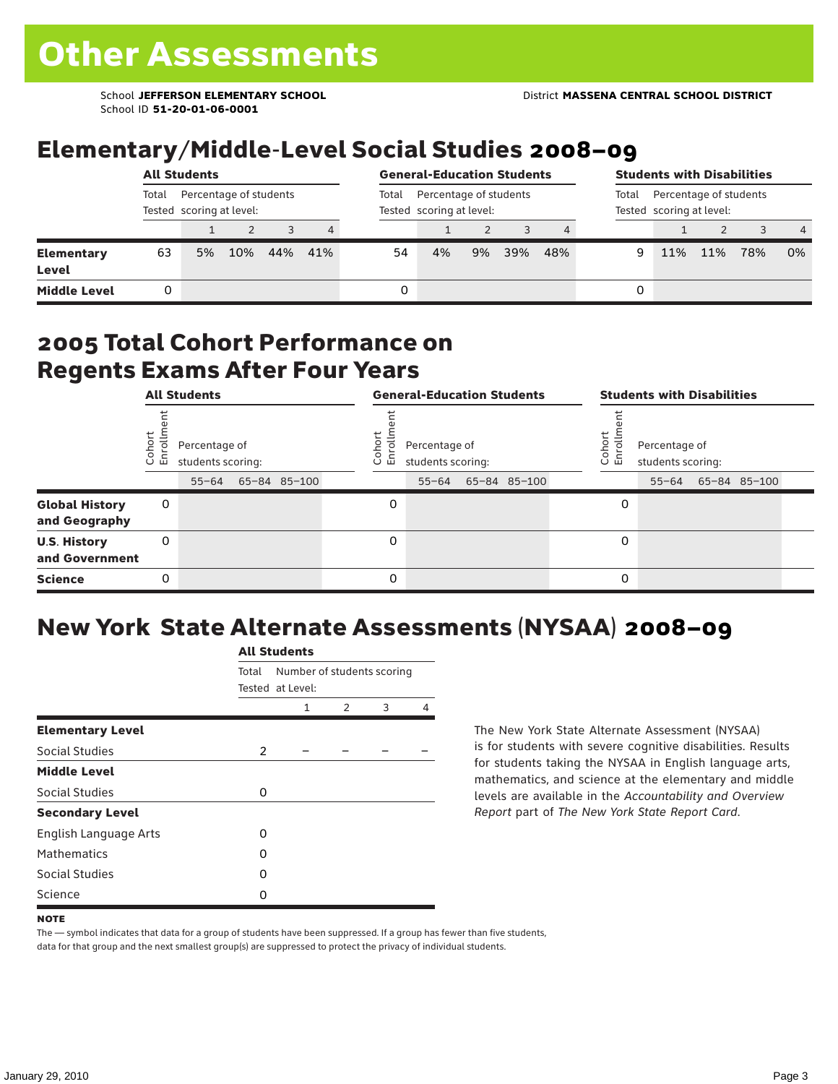School ID **51-20-01-06-0001**

### Elementary/Middle-Level Social Studies 2008–09

|                                   |                                                             | <b>All Students</b> |     |     |     |       | <b>General-Education Students</b>                  |    |     |     |                                                             |     | <b>Students with Disabilities</b> |     |                |  |  |  |  |
|-----------------------------------|-------------------------------------------------------------|---------------------|-----|-----|-----|-------|----------------------------------------------------|----|-----|-----|-------------------------------------------------------------|-----|-----------------------------------|-----|----------------|--|--|--|--|
|                                   | Percentage of students<br>Total<br>Tested scoring at level: |                     |     |     |     | Total | Percentage of students<br>Tested scoring at level: |    |     |     | Percentage of students<br>Total<br>Tested scoring at level: |     |                                   |     |                |  |  |  |  |
|                                   |                                                             |                     |     |     | 4   |       |                                                    |    |     |     |                                                             |     |                                   |     | $\overline{4}$ |  |  |  |  |
| <b>Elementary</b><br><b>Level</b> | 63                                                          | 5%                  | 10% | 44% | 41% | 54    | 4%                                                 | 9% | 39% | 48% | 9                                                           | 11% | 11%                               | 78% | 0%             |  |  |  |  |
| <b>Middle Level</b>               |                                                             |                     |     |     |     | 0     |                                                    |    |     |     | 0                                                           |     |                                   |     |                |  |  |  |  |

#### 2005 Total Cohort Performance on Regents Exams After Four Years

|                                        | <b>All Students</b><br>Cohor<br>Enroll<br>Percentage of<br>students scoring:<br>65-84 85-100<br>$55 - 64$<br>0<br>0 |  |  |  | <b>General-Education Students</b> |                                                 |  |              |  |                   | <b>Students with Disabilities</b>  |  |                    |  |  |  |
|----------------------------------------|---------------------------------------------------------------------------------------------------------------------|--|--|--|-----------------------------------|-------------------------------------------------|--|--------------|--|-------------------|------------------------------------|--|--------------------|--|--|--|
|                                        |                                                                                                                     |  |  |  | Coho<br>o.<br>屲                   | Percentage of<br>students scoring:<br>$55 - 64$ |  | 65-84 85-100 |  | Cohort<br>o.<br>멷 | Percentage of<br>students scoring: |  | 55-64 65-84 85-100 |  |  |  |
| <b>Global History</b><br>and Geography |                                                                                                                     |  |  |  | 0                                 |                                                 |  |              |  | 0                 |                                    |  |                    |  |  |  |
| <b>U.S. History</b><br>and Government  |                                                                                                                     |  |  |  | 0                                 |                                                 |  |              |  | 0                 |                                    |  |                    |  |  |  |
| <b>Science</b>                         | 0                                                                                                                   |  |  |  | 0                                 |                                                 |  |              |  | 0                 |                                    |  |                    |  |  |  |

### New York State Alternate Assessments (NYSAA) 2008–09

|                         |       | <b>All Students</b>                                                       |  |  |   |  |  |  |  |
|-------------------------|-------|---------------------------------------------------------------------------|--|--|---|--|--|--|--|
|                         | Total | Number of students scoring<br>Tested at Level:<br>3<br>$\mathcal{P}$<br>1 |  |  |   |  |  |  |  |
|                         |       |                                                                           |  |  | 4 |  |  |  |  |
| <b>Elementary Level</b> |       |                                                                           |  |  |   |  |  |  |  |
| Social Studies          | 2     |                                                                           |  |  |   |  |  |  |  |
| <b>Middle Level</b>     |       |                                                                           |  |  |   |  |  |  |  |
| Social Studies          | 0     |                                                                           |  |  |   |  |  |  |  |
| <b>Secondary Level</b>  |       |                                                                           |  |  |   |  |  |  |  |
| English Language Arts   | O     |                                                                           |  |  |   |  |  |  |  |
| <b>Mathematics</b>      | O     |                                                                           |  |  |   |  |  |  |  |
| <b>Social Studies</b>   | O     |                                                                           |  |  |   |  |  |  |  |
| Science                 | 0     |                                                                           |  |  |   |  |  |  |  |

The New York State Alternate Assessment (NYSAA) is for students with severe cognitive disabilities. Results for students taking the NYSAA in English language arts, mathematics, and science at the elementary and middle levels are available in the *Accountability and Overview Report* part of *The New York State Report Card*.

The — symbol indicates that data for a group of students have been suppressed. If a group has fewer than five students, data for that group and the next smallest group(s) are suppressed to protect the privacy of individual students.

**NOTE**